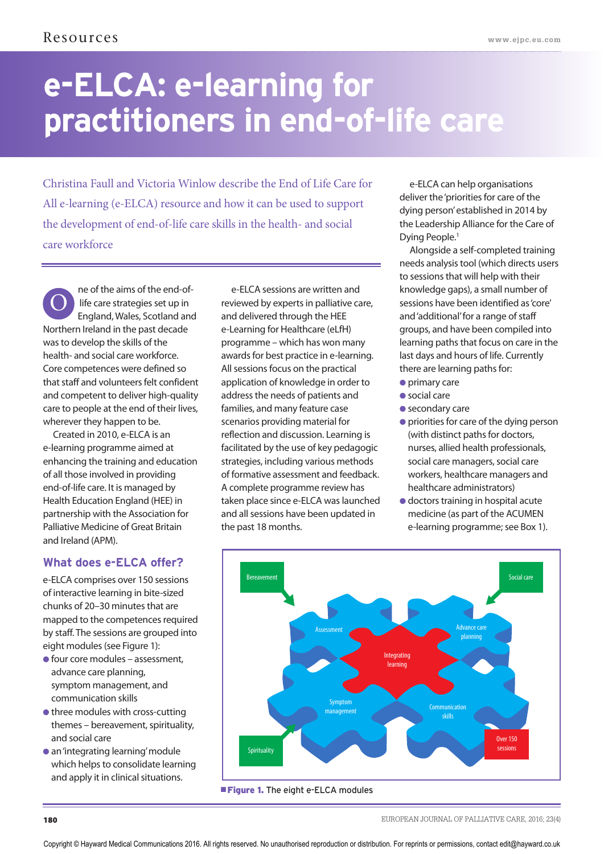# **e-ELCA: e-learning for practitioners in end-of-life care**

Christina Faull and Victoria Winlow describe the End of Life Care for All e-learning (e-ELCA) resource and how it can be used to support the development of end-of-life care skills in the health- and social care workforce

ne of the aims of the end-oflife care strategies set up in England, Wales, Scotland and Northern Ireland in the past decade was to develop the skills of the health- and social care workforce. Core competences were defined so that staff and volunteers felt confident and competent to deliver high-quality care to people at the end of their lives, wherever they happen to be. O

Created in 2010, e-ELCA is an e-learning programme aimed at enhancing the training and education of all those involved in providing end-of-life care. It is managed by Health Education England (HEE) in partnership with the Association for Palliative Medicine of Great Britain and Ireland (APM).

# **What does e-ELCA offer?**

e-ELCA comprises over 150 sessions of interactive learning in bite-sized chunks of 20–30 minutes that are mapped to the competences required by staff. The sessions are grouped into eight modules (see Figure 1):

- **●** four core modules assessment, advance care planning, symptom management, and communication skills
- **●** three modules with cross-cutting themes – bereavement, spirituality, and social care
- **●** an 'integrating learning' module which helps to consolidate learning and apply it in clinical situations.

e-ELCA sessions are written and reviewed by experts in palliative care, and delivered through the HEE e-Learning for Healthcare (eLfH) programme – which has won many awards for best practice in e-learning. All sessions focus on the practical application of knowledge in order to address the needs of patients and families, and many feature case scenarios providing material for reflection and discussion. Learning is facilitated by the use of key pedagogic strategies, including various methods of formative assessment and feedback. A complete programme review has taken place since e-ELCA was launched and all sessions have been updated in the past 18 months.

e-ELCA can help organisations deliver the 'priorities for care of the dying person' established in 2014 by the Leadership Alliance for the Care of Dying People.1

Alongside a self-completed training needs analysis tool (which directs users to sessions that will help with their knowledge gaps), a small number of sessions have been identified as 'core' and 'additional' for a range of staff groups, and have been compiled into learning paths that focus on care in the last days and hours of life. Currently there are learning paths for:

- **●** primary care
- **●** social care
- **●** secondary care
- **●** priorities for care of the dying person (with distinct paths for doctors, nurses, allied health professionals, social care managers, social care workers, healthcare managers and healthcare administrators)
- **●** doctors training in hospital acute medicine (as part of the ACUMEN e-learning programme; see Box 1).

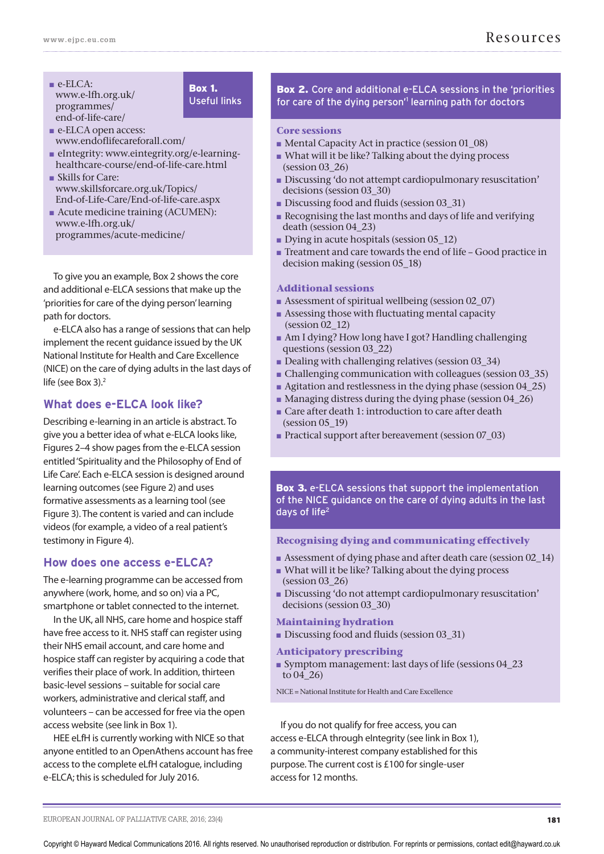- **■** e-ELCA: www.e-lfh.org.uk/ programmes/ end-of-life-care/
- Box 1. Useful links
- **■** e-ELCA open access: www.endoflifecareforall.com/
- **■** eIntegrity: www.eintegrity.org/e-learninghealthcare-course/end-of-life-care.html
- **■** Skills for Care: www.skillsforcare.org.uk/Topics/ End-of-Life-Care/End-of-life-care.aspx
- Acute medicine training (ACUMEN): www.e-lfh.org.uk/ programmes/acute-medicine/

To give you an example, Box 2 shows the core and additional e-ELCA sessions that make up the 'priorities for care of the dying person' learning path for doctors.

e-ELCA also has a range of sessions that can help implement the recent guidance issued by the UK National Institute for Health and Care Excellence (NICE) on the care of dying adults in the last days of life (see Box 3).2

# **What does e-ELCA look like?**

Describing e-learning in an article is abstract. To give you a better idea of what e-ELCA looks like, Figures 2–4 show pages from the e-ELCA session entitled 'Spirituality and the Philosophy of End of Life Care'. Each e-ELCA session is designed around learning outcomes (see Figure 2) and uses formative assessments as a learning tool (see Figure 3). The content is varied and can include videos (for example, a video of a real patient's testimony in Figure 4).

# **How does one access e-ELCA?**

The e-learning programme can be accessed from anywhere (work, home, and so on) via a PC, smartphone or tablet connected to the internet.

In the UK, all NHS, care home and hospice staff have free access to it. NHS staff can register using their NHS email account, and care home and hospice staff can register by acquiring a code that verifies their place of work. In addition, thirteen basic-level sessions – suitable for social care workers, administrative and clerical staff, and volunteers – can be accessed for free via the open access website (see link in Box 1).

HEE eLfH is currently working with NICE so that anyone entitled to an OpenAthens account has free access to the complete eLfH catalogue, including e-ELCA; this is scheduled for July 2016.

Box 2. Core and additional e-ELCA sessions in the 'priorities for care of the dying person<sup>'1</sup> learning path for doctors

#### **Core sessions**

- Mental Capacity Act in practice (session 01\_08)
- **■** What will it be like? Talking about the dying process (session 03\_26)
- **■** Discussing 'do not attempt cardiopulmonary resuscitation' decisions (session 03\_30)
- Discussing food and fluids (session 03\_31)
- **■** Recognising the last months and days of life and verifying death (session 04\_23)
- **•** Dying in acute hospitals (session 05\_12)
- **■** Treatment and care towards the end of life Good practice in decision making (session 05\_18)

# **Additional sessions**

- Assessment of spiritual wellbeing (session 02\_07)
- **■** Assessing those with fluctuating mental capacity (session 02\_12)
- **■** Am I dying? How long have I got? Handling challenging questions (session 03\_22)
- Dealing with challenging relatives (session 03\_34)
- Challenging communication with colleagues (session 03\_35)
- Agitation and restlessness in the dying phase (session 04\_25)
- Managing distress during the dying phase (session 04\_26)
- Care after death 1: introduction to care after death (session 05\_19)
- Practical support after bereavement (session 07\_03)

Box 3. e-ELCA sessions that support the implementation of the NICE guidance on the care of dying adults in the last days of life<sup>2</sup>

# **Recognising dying and communicating effectively**

- **■** Assessment of dying phase and after death care (session 02\_14)
- **■** What will it be like? Talking about the dying process (session 03\_26)
- **■** Discussing 'do not attempt cardiopulmonary resuscitation' decisions (session 03\_30)

# **Maintaining hydration**

■ Discussing food and fluids (session 03\_31)

#### **Anticipatory prescribing**

**■** Symptom management: last days of life (sessions 04\_23 to  $04\overline{26}$ 

NICE = National Institute for Health and Care Excellence

If you do not qualify for free access, you can access e-ELCA through eIntegrity (see link in Box 1), a community-interest company established for this purpose. The current cost is £100 for single-user access for 12 months.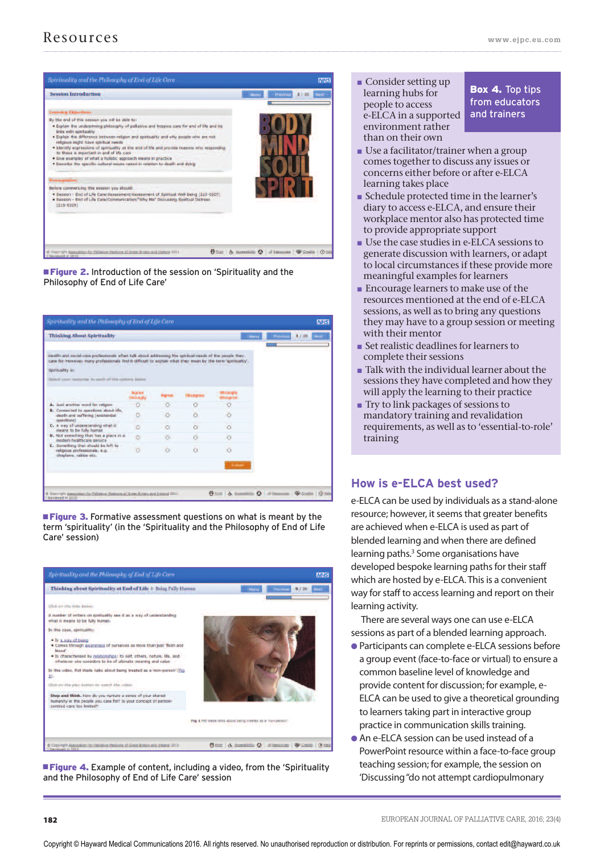

**Figure 2.** Introduction of the session on 'Spirituality and the Philosophy of End of Life Care'

| <b>Thinking About Spirituality</b>                                                                                                                                                                                     |          |         |          |                | Previous<br>Menu | 4/20 | Next |
|------------------------------------------------------------------------------------------------------------------------------------------------------------------------------------------------------------------------|----------|---------|----------|----------------|------------------|------|------|
| Health and social care professionals often talk about addressing the spiritual needs of the people they<br>care for However, many professionals find it difficult to explain what they mean by the term 'spintuality'. |          |         |          |                |                  |      |      |
| Spirituality is:                                                                                                                                                                                                       |          |         |          |                |                  |      |      |
| Seiect your response to each of the options below.                                                                                                                                                                     |          |         |          |                |                  |      |      |
|                                                                                                                                                                                                                        |          |         |          |                |                  |      |      |
| A. Just another word for religion                                                                                                                                                                                      | $\circ$  |         |          |                |                  |      |      |
| <b>B.</b> Connected to questions about life.<br>death and suffering (existential<br>questions)                                                                                                                         | $\circ$  | $\circ$ | $\circ$  |                |                  |      |      |
| C. A way of understanding what it<br>means to be fully human                                                                                                                                                           | $\Omega$ | $\circ$ | $\sim$   |                |                  |      |      |
| D. Not something that has a place in a<br>modern healthcare service                                                                                                                                                    | Ō        |         | $\circ$  |                |                  |      |      |
| E. Something that should be left to<br>religious professionals, e.g.<br>chaplains, rabbis etc.                                                                                                                         | $\circ$  | $\circ$ | $\alpha$ |                |                  |      |      |
|                                                                                                                                                                                                                        |          |         |          | <b>Scalent</b> |                  |      |      |
|                                                                                                                                                                                                                        |          |         |          |                |                  |      |      |

**Figure 3.** Formative assessment questions on what is meant by the term 'spirituality' (in the 'Spirituality and the Philosophy of End of Life Care' session)



**Figure 4.** Example of content, including a video, from the 'Spirituality' and the Philosophy of End of Life Care' session

**■** Consider setting up learning hubs for people to access e-ELCA in a supported environment rather than on their own

Box 4. Top tips from educators and trainers

- **■** Use a facilitator/trainer when a group comes together to discuss any issues or concerns either before or after e-ELCA learning takes place
- **■** Schedule protected time in the learner's diary to access e-ELCA, and ensure their workplace mentor also has protected time to provide appropriate support
- **■** Use the case studies in e-ELCA sessions to generate discussion with learners, or adapt to local circumstances if these provide more meaningful examples for learners
- Encourage learners to make use of the resources mentioned at the end of e-ELCA sessions, as well as to bring any questions they may have to a group session or meeting with their mentor
- **■** Set realistic deadlines for learners to complete their sessions
- **■** Talk with the individual learner about the sessions they have completed and how they will apply the learning to their practice
- **■** Try to link packages of sessions to mandatory training and revalidation requirements, as well as to 'essential-to-role' training

# **How is e-ELCA best used?**

e-ELCA can be used by individuals as a stand-alone resource; however, it seems that greater benefits are achieved when e-ELCA is used as part of blended learning and when there are defined learning paths.<sup>3</sup> Some organisations have developed bespoke learning paths for their staff which are hosted by e-ELCA. This is a convenient way for staff to access learning and report on their learning activity.

There are several ways one can use e-ELCA sessions as part of a blended learning approach.

- **●** Participants can complete e-ELCA sessions before a group event (face-to-face or virtual) to ensure a common baseline level of knowledge and provide content for discussion; for example, e-ELCA can be used to give a theoretical grounding to learners taking part in interactive group practice in communication skills training.
- **●** An e-ELCA session can be used instead of a PowerPoint resource within a face-to-face group teaching session; for example, the session on 'Discussing "do not attempt cardiopulmonary